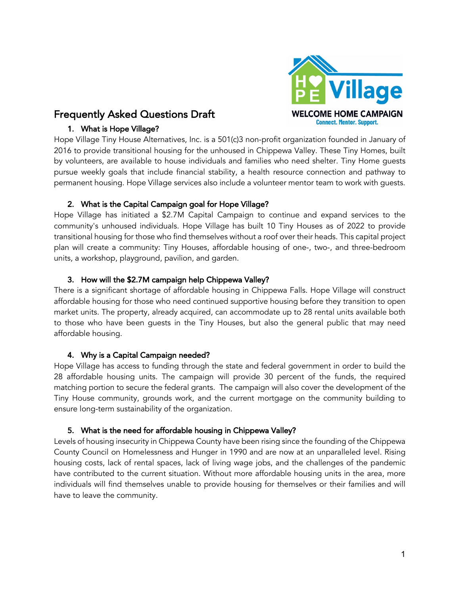

# Frequently Asked Questions Draft

# 1. What is Hope Village?

Hope Village Tiny House Alternatives, Inc. is a 501(c)3 non-profit organization founded in January of 2016 to provide transitional housing for the unhoused in Chippewa Valley. These Tiny Homes, built by volunteers, are available to house individuals and families who need shelter. Tiny Home guests pursue weekly goals that include financial stability, a health resource connection and pathway to permanent housing. Hope Village services also include a volunteer mentor team to work with guests.

# 2. What is the Capital Campaign goal for Hope Village?

Hope Village has initiated a \$2.7M Capital Campaign to continue and expand services to the community's unhoused individuals. Hope Village has built 10 Tiny Houses as of 2022 to provide transitional housing for those who find themselves without a roof over their heads. This capital project plan will create a community: Tiny Houses, affordable housing of one-, two-, and three-bedroom units, a workshop, playground, pavilion, and garden.

# 3. How will the \$2.7M campaign help Chippewa Valley?

There is a significant shortage of affordable housing in Chippewa Falls. Hope Village will construct affordable housing for those who need continued supportive housing before they transition to open market units. The property, already acquired, can accommodate up to 28 rental units available both to those who have been guests in the Tiny Houses, but also the general public that may need affordable housing.

# 4. Why is a Capital Campaign needed?

Hope Village has access to funding through the state and federal government in order to build the 28 affordable housing units. The campaign will provide 30 percent of the funds, the required matching portion to secure the federal grants. The campaign will also cover the development of the Tiny House community, grounds work, and the current mortgage on the community building to ensure long-term sustainability of the organization.

# 5. What is the need for affordable housing in Chippewa Valley?

Levels of housing insecurity in Chippewa County have been rising since the founding of the Chippewa County Council on Homelessness and Hunger in 1990 and are now at an unparalleled level. Rising housing costs, lack of rental spaces, lack of living wage jobs, and the challenges of the pandemic have contributed to the current situation. Without more affordable housing units in the area, more individuals will find themselves unable to provide housing for themselves or their families and will have to leave the community.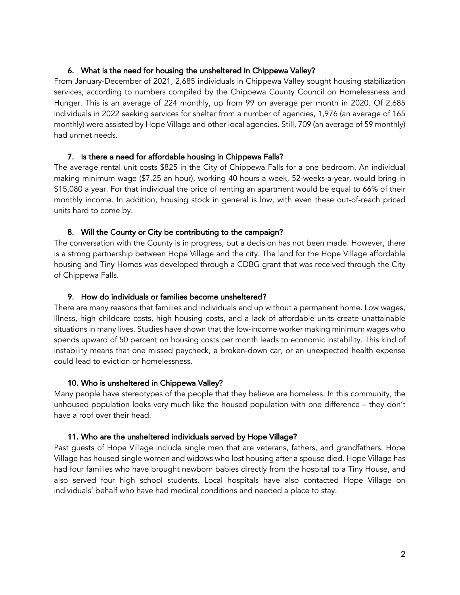### 6. What is the need for housing the unsheltered in Chippewa Valley?

From January-December of 2021, 2,685 individuals in Chippewa Valley sought housing stabilization services, according to numbers compiled by the Chippewa County Council on Homelessness and Hunger. This is an average of 224 monthly, up from 99 on average per month in 2020. Of 2,685 individuals in 2022 seeking services for shelter from a number of agencies, 1,976 (an average of 165 monthly) were assisted by Hope Village and other local agencies. Still, 709 (an average of 59 monthly) had unmet needs.

### 7. Is there a need for affordable housing in Chippewa Falls?

The average rental unit costs \$825 in the City of Chippewa Falls for a one bedroom. An individual making minimum wage (\$7.25 an hour), working 40 hours a week, 52-weeks-a-year, would bring in \$15,080 a year. For that individual the price of renting an apartment would be equal to 66% of their monthly income. In addition, housing stock in general is low, with even these out-of-reach priced units hard to come by.

### 8. Will the County or City be contributing to the campaign?

The conversation with the County is in progress, but a decision has not been made. However, there is a strong partnership between Hope Village and the city. The land for the Hope Village affordable housing and Tiny Homes was developed through a CDBG grant that was received through the City of Chippewa Falls.

### 9. How do individuals or families become unsheltered?

There are many reasons that families and individuals end up without a permanent home. Low wages, illness, high childcare costs, high housing costs, and a lack of affordable units create unattainable situations in many lives. Studies have shown that the low-income worker making minimum wages who spends upward of 50 percent on housing costs per month leads to economic instability. This kind of instability means that one missed paycheck, a broken-down car, or an unexpected health expense could lead to eviction or homelessness.

### 10. Who is unsheltered in Chippewa Valley?

Many people have stereotypes of the people that they believe are homeless. In this community, the unhoused population looks very much like the housed population with one difference – they don't have a roof over their head.

### 11. Who are the unsheltered individuals served by Hope Village?

Past guests of Hope Village include single men that are veterans, fathers, and grandfathers. Hope Village has housed single women and widows who lost housing after a spouse died. Hope Village has had four families who have brought newborn babies directly from the hospital to a Tiny House, and also served four high school students. Local hospitals have also contacted Hope Village on individuals' behalf who have had medical conditions and needed a place to stay.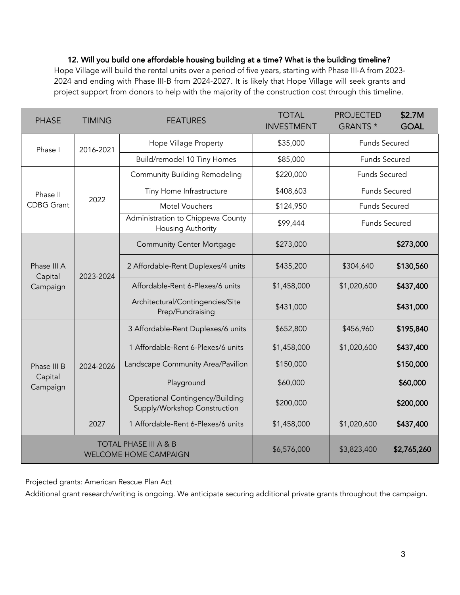# 12. Will you build one affordable housing building at a time? What is the building timeline?

Hope Village will build the rental units over a period of five years, starting with Phase III-A from 2023- 2024 and ending with Phase III-B from 2024-2027. It is likely that Hope Village will seek grants and project support from donors to help with the majority of the construction cost through this timeline.

| <b>PHASE</b>                                                     | <b>TIMING</b> | <b>FEATURES</b>                                                  | <b>TOTAL</b><br><b>INVESTMENT</b> | <b>PROJECTED</b><br>GRANTS * | \$2.7M<br><b>GOAL</b> |
|------------------------------------------------------------------|---------------|------------------------------------------------------------------|-----------------------------------|------------------------------|-----------------------|
| Phase I                                                          | 2016-2021     | Hope Village Property                                            | \$35,000                          | <b>Funds Secured</b>         |                       |
|                                                                  |               | Build/remodel 10 Tiny Homes                                      | \$85,000                          | <b>Funds Secured</b>         |                       |
| Phase II<br><b>CDBG</b> Grant                                    | 2022          | <b>Community Building Remodeling</b>                             | \$220,000                         | <b>Funds Secured</b>         |                       |
|                                                                  |               | Tiny Home Infrastructure                                         | \$408,603                         | <b>Funds Secured</b>         |                       |
|                                                                  |               | Motel Vouchers                                                   | \$124,950                         | <b>Funds Secured</b>         |                       |
|                                                                  |               | Administration to Chippewa County<br>Housing Authority           | \$99,444                          | <b>Funds Secured</b>         |                       |
| Phase III A<br>Capital<br>Campaign                               | 2023-2024     | <b>Community Center Mortgage</b>                                 | \$273,000                         |                              | \$273,000             |
|                                                                  |               | 2 Affordable-Rent Duplexes/4 units                               | \$435,200                         | \$304,640                    | \$130,560             |
|                                                                  |               | Affordable-Rent 6-Plexes/6 units                                 | \$1,458,000                       | \$1,020,600                  | \$437,400             |
|                                                                  |               | Architectural/Contingencies/Site<br>Prep/Fundraising             | \$431,000                         |                              | \$431,000             |
| Phase III B<br>Capital<br>Campaign                               | 2024-2026     | 3 Affordable-Rent Duplexes/6 units                               | \$652,800                         | \$456,960                    | \$195,840             |
|                                                                  |               | 1 Affordable-Rent 6-Plexes/6 units                               | \$1,458,000                       | \$1,020,600                  | \$437,400             |
|                                                                  |               | Landscape Community Area/Pavilion                                | \$150,000                         |                              | \$150,000             |
|                                                                  |               | Playground                                                       | \$60,000                          |                              | \$60,000              |
|                                                                  |               | Operational Contingency/Building<br>Supply/Workshop Construction | \$200,000                         |                              | \$200,000             |
|                                                                  | 2027          | 1 Affordable-Rent 6-Plexes/6 units                               | \$1,458,000                       | \$1,020,600                  | \$437,400             |
| <b>TOTAL PHASE III A &amp; B</b><br><b>WELCOME HOME CAMPAIGN</b> |               |                                                                  | \$6,576,000                       | \$3,823,400                  | \$2,765,260           |

Projected grants: American Rescue Plan Act

Additional grant research/writing is ongoing. We anticipate securing additional private grants throughout the campaign.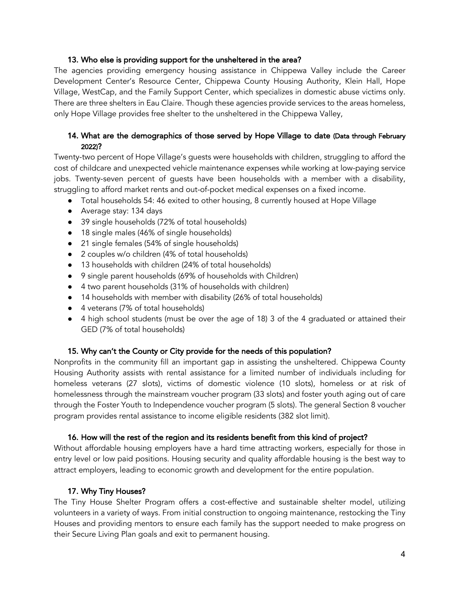### 13. Who else is providing support for the unsheltered in the area?

The agencies providing emergency housing assistance in Chippewa Valley include the Career Development Center's Resource Center, Chippewa County Housing Authority, Klein Hall, Hope Village, WestCap, and the Family Support Center, which specializes in domestic abuse victims only. There are three shelters in Eau Claire. Though these agencies provide services to the areas homeless, only Hope Village provides free shelter to the unsheltered in the Chippewa Valley,

# 14. What are the demographics of those served by Hope Village to date (Data through February 2022)?

Twenty-two percent of Hope Village's guests were households with children, struggling to afford the cost of childcare and unexpected vehicle maintenance expenses while working at low-paying service jobs. Twenty-seven percent of guests have been households with a member with a disability, struggling to afford market rents and out-of-pocket medical expenses on a fixed income.

- Total households 54: 46 exited to other housing, 8 currently housed at Hope Village
- Average stay: 134 days
- 39 single households (72% of total households)
- 18 single males (46% of single households)
- 21 single females (54% of single households)
- 2 couples w/o children (4% of total households)
- 13 households with children (24% of total households)
- 9 single parent households (69% of households with Children)
- 4 two parent households (31% of households with children)
- 14 households with member with disability (26% of total households)
- 4 veterans (7% of total households)
- 4 high school students (must be over the age of 18) 3 of the 4 graduated or attained their GED (7% of total households)

### 15. Why can't the County or City provide for the needs of this population?

Nonprofits in the community fill an important gap in assisting the unsheltered. Chippewa County Housing Authority assists with rental assistance for a limited number of individuals including for homeless veterans (27 slots), victims of domestic violence (10 slots), homeless or at risk of homelessness through the mainstream voucher program (33 slots) and foster youth aging out of care through the Foster Youth to Independence voucher program (5 slots). The general Section 8 voucher program provides rental assistance to income eligible residents (382 slot limit).

### 16. How will the rest of the region and its residents benefit from this kind of project?

Without affordable housing employers have a hard time attracting workers, especially for those in entry level or low paid positions. Housing security and quality affordable housing is the best way to attract employers, leading to economic growth and development for the entire population.

### 17. Why Tiny Houses?

The Tiny House Shelter Program offers a cost-effective and sustainable shelter model, utilizing volunteers in a variety of ways. From initial construction to ongoing maintenance, restocking the Tiny Houses and providing mentors to ensure each family has the support needed to make progress on their Secure Living Plan goals and exit to permanent housing.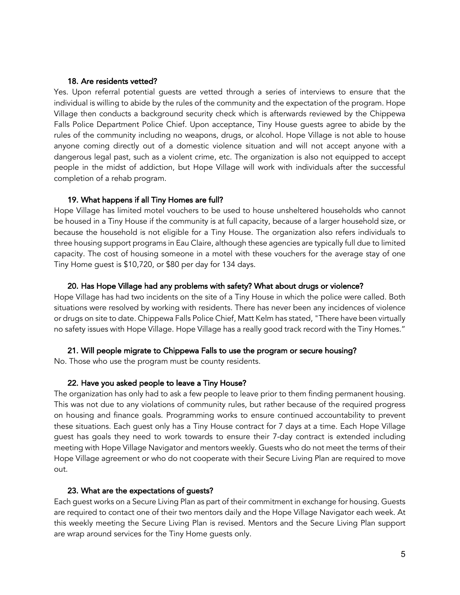#### 18. Are residents vetted?

Yes. Upon referral potential guests are vetted through a series of interviews to ensure that the individual is willing to abide by the rules of the community and the expectation of the program. Hope Village then conducts a background security check which is afterwards reviewed by the Chippewa Falls Police Department Police Chief. Upon acceptance, Tiny House guests agree to abide by the rules of the community including no weapons, drugs, or alcohol. Hope Village is not able to house anyone coming directly out of a domestic violence situation and will not accept anyone with a dangerous legal past, such as a violent crime, etc. The organization is also not equipped to accept people in the midst of addiction, but Hope Village will work with individuals after the successful completion of a rehab program.

#### 19. What happens if all Tiny Homes are full?

Hope Village has limited motel vouchers to be used to house unsheltered households who cannot be housed in a Tiny House if the community is at full capacity, because of a larger household size, or because the household is not eligible for a Tiny House. The organization also refers individuals to three housing support programs in Eau Claire, although these agencies are typically full due to limited capacity. The cost of housing someone in a motel with these vouchers for the average stay of one Tiny Home guest is \$10,720, or \$80 per day for 134 days.

#### 20. Has Hope Village had any problems with safety? What about drugs or violence?

Hope Village has had two incidents on the site of a Tiny House in which the police were called. Both situations were resolved by working with residents. There has never been any incidences of violence or drugs on site to date. Chippewa Falls Police Chief, Matt Kelm has stated, "There have been virtually no safety issues with Hope Village. Hope Village has a really good track record with the Tiny Homes."

#### 21. Will people migrate to Chippewa Falls to use the program or secure housing?

No. Those who use the program must be county residents.

#### 22. Have you asked people to leave a Tiny House?

The organization has only had to ask a few people to leave prior to them finding permanent housing. This was not due to any violations of community rules, but rather because of the required progress on housing and finance goals. Programming works to ensure continued accountability to prevent these situations. Each guest only has a Tiny House contract for 7 days at a time. Each Hope Village guest has goals they need to work towards to ensure their 7-day contract is extended including meeting with Hope Village Navigator and mentors weekly. Guests who do not meet the terms of their Hope Village agreement or who do not cooperate with their Secure Living Plan are required to move out.

#### 23. What are the expectations of guests?

Each guest works on a Secure Living Plan as part of their commitment in exchange for housing. Guests are required to contact one of their two mentors daily and the Hope Village Navigator each week. At this weekly meeting the Secure Living Plan is revised. Mentors and the Secure Living Plan support are wrap around services for the Tiny Home guests only.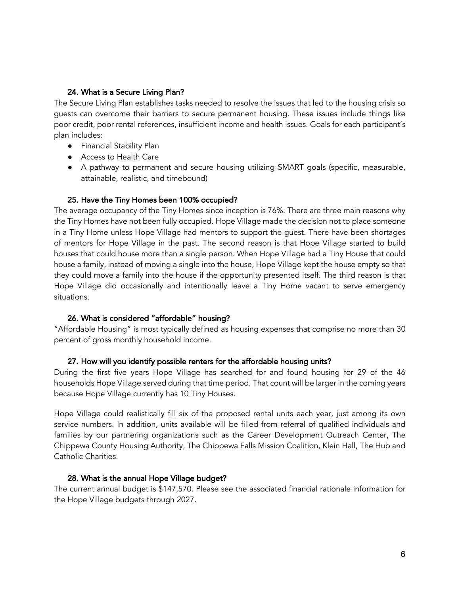### 24. What is a Secure Living Plan?

The Secure Living Plan establishes tasks needed to resolve the issues that led to the housing crisis so guests can overcome their barriers to secure permanent housing. These issues include things like poor credit, poor rental references, insufficient income and health issues. Goals for each participant's plan includes:

- Financial Stability Plan
- Access to Health Care
- A pathway to permanent and secure housing utilizing SMART goals (specific, measurable, attainable, realistic, and timebound)

### 25. Have the Tiny Homes been 100% occupied?

The average occupancy of the Tiny Homes since inception is 76%. There are three main reasons why the Tiny Homes have not been fully occupied. Hope Village made the decision not to place someone in a Tiny Home unless Hope Village had mentors to support the guest. There have been shortages of mentors for Hope Village in the past. The second reason is that Hope Village started to build houses that could house more than a single person. When Hope Village had a Tiny House that could house a family, instead of moving a single into the house, Hope Village kept the house empty so that they could move a family into the house if the opportunity presented itself. The third reason is that Hope Village did occasionally and intentionally leave a Tiny Home vacant to serve emergency situations.

### 26. What is considered "affordable" housing?

"Affordable Housing" is most typically defined as housing expenses that comprise no more than 30 percent of gross monthly household income.

### 27. How will you identify possible renters for the affordable housing units?

During the first five years Hope Village has searched for and found housing for 29 of the 46 households Hope Village served during that time period. That count will be larger in the coming years because Hope Village currently has 10 Tiny Houses.

Hope Village could realistically fill six of the proposed rental units each year, just among its own service numbers. In addition, units available will be filled from referral of qualified individuals and families by our partnering organizations such as the Career Development Outreach Center, The Chippewa County Housing Authority, The Chippewa Falls Mission Coalition, Klein Hall, The Hub and Catholic Charities.

### 28. What is the annual Hope Village budget?

The current annual budget is \$147,570. Please see the associated financial rationale information for the Hope Village budgets through 2027.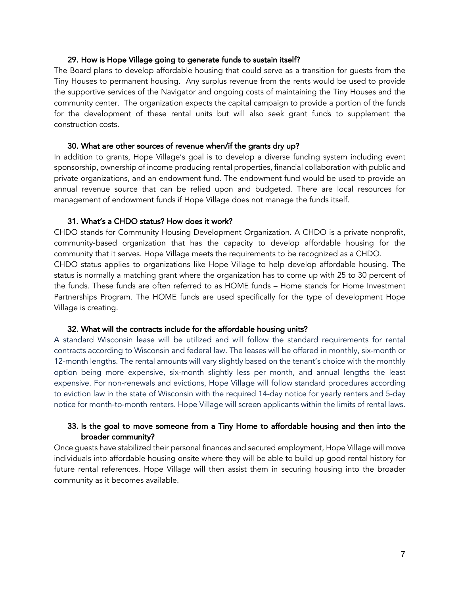#### 29. How is Hope Village going to generate funds to sustain itself?

The Board plans to develop affordable housing that could serve as a transition for guests from the Tiny Houses to permanent housing. Any surplus revenue from the rents would be used to provide the supportive services of the Navigator and ongoing costs of maintaining the Tiny Houses and the community center. The organization expects the capital campaign to provide a portion of the funds for the development of these rental units but will also seek grant funds to supplement the construction costs.

#### 30. What are other sources of revenue when/if the grants dry up?

In addition to grants, Hope Village's goal is to develop a diverse funding system including event sponsorship, ownership of income producing rental properties, financial collaboration with public and private organizations, and an endowment fund. The endowment fund would be used to provide an annual revenue source that can be relied upon and budgeted. There are local resources for management of endowment funds if Hope Village does not manage the funds itself.

#### 31. What's a CHDO status? How does it work?

CHDO stands for Community Housing Development Organization. A CHDO is a private nonprofit, community-based organization that has the capacity to develop affordable housing for the community that it serves. Hope Village meets the requirements to be recognized as a CHDO.

CHDO status applies to organizations like Hope Village to help develop affordable housing. The status is normally a matching grant where the organization has to come up with 25 to 30 percent of the funds. These funds are often referred to as HOME funds – Home stands for Home Investment Partnerships Program. The HOME funds are used specifically for the type of development Hope Village is creating.

#### 32. What will the contracts include for the affordable housing units?

A standard Wisconsin lease will be utilized and will follow the standard requirements for rental contracts according to Wisconsin and federal law. The leases will be offered in monthly, six-month or 12-month lengths. The rental amounts will vary slightly based on the tenant's choice with the monthly option being more expensive, six-month slightly less per month, and annual lengths the least expensive. For non-renewals and evictions, Hope Village will follow standard procedures according to eviction law in the state of Wisconsin with the required 14-day notice for yearly renters and 5-day notice for month-to-month renters. Hope Village will screen applicants within the limits of rental laws.

### 33. Is the goal to move someone from a Tiny Home to affordable housing and then into the broader community?

Once guests have stabilized their personal finances and secured employment, Hope Village will move individuals into affordable housing onsite where they will be able to build up good rental history for future rental references. Hope Village will then assist them in securing housing into the broader community as it becomes available.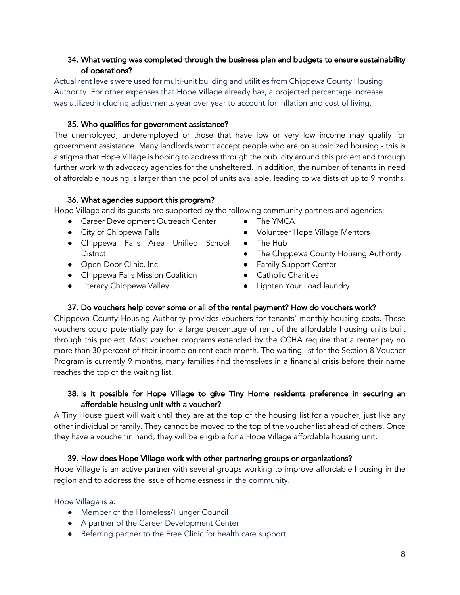# 34. What vetting was completed through the business plan and budgets to ensure sustainability of operations?

Actual rent levels were used for multi-unit building and utilities from Chippewa County Housing Authority. For other expenses that Hope Village already has, a projected percentage increase was utilized including adjustments year over year to account for inflation and cost of living.

### 35. Who qualifies for government assistance?

The unemployed, underemployed or those that have low or very low income may qualify for government assistance. Many landlords won't accept people who are on subsidized housing - this is a stigma that Hope Village is hoping to address through the publicity around this project and through further work with advocacy agencies for the unsheltered. In addition, the number of tenants in need of affordable housing is larger than the pool of units available, leading to waitlists of up to 9 months.

### 36. What agencies support this program?

Hope Village and its guests are supported by the following community partners and agencies:

- Career Development Outreach Center
- City of Chippewa Falls
- Chippewa Falls Area Unified School **District**
- Open-Door Clinic, Inc.
- Chippewa Falls Mission Coalition
- **•** Literacy Chippewa Valley
- The YMCA
- Volunteer Hope Village Mentors
- The Hub
- The Chippewa County Housing Authority
- Family Support Center
- Catholic Charities
- Lighten Your Load laundry

### 37. Do vouchers help cover some or all of the rental payment? How do vouchers work?

Chippewa County Housing Authority provides vouchers for tenants' monthly housing costs. These vouchers could potentially pay for a large percentage of rent of the affordable housing units built through this project. Most voucher programs extended by the CCHA require that a renter pay no more than 30 percent of their income on rent each month. The waiting list for the Section 8 Voucher Program is currently 9 months, many families find themselves in a financial crisis before their name reaches the top of the waiting list.

# 38. Is it possible for Hope Village to give Tiny Home residents preference in securing an affordable housing unit with a voucher?

A Tiny House guest will wait until they are at the top of the housing list for a voucher, just like any other individual or family. They cannot be moved to the top of the voucher list ahead of others. Once they have a voucher in hand, they will be eligible for a Hope Village affordable housing unit.

### 39. How does Hope Village work with other partnering groups or organizations?

Hope Village is an active partner with several groups working to improve affordable housing in the region and to address the issue of homelessness in the community.

Hope Village is a:

- Member of the Homeless/Hunger Council
- A partner of the Career Development Center
- Referring partner to the Free Clinic for health care support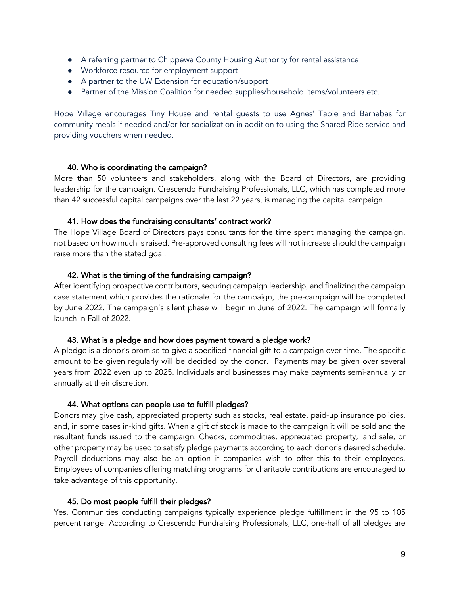- A referring partner to Chippewa County Housing Authority for rental assistance
- Workforce resource for employment support
- A partner to the UW Extension for education/support
- Partner of the Mission Coalition for needed supplies/household items/volunteers etc.

Hope Village encourages Tiny House and rental guests to use Agnes' Table and Barnabas for community meals if needed and/or for socialization in addition to using the Shared Ride service and providing vouchers when needed.

### 40. Who is coordinating the campaign?

More than 50 volunteers and stakeholders, along with the Board of Directors, are providing leadership for the campaign. Crescendo Fundraising Professionals, LLC, which has completed more than 42 successful capital campaigns over the last 22 years, is managing the capital campaign.

### 41. How does the fundraising consultants' contract work?

The Hope Village Board of Directors pays consultants for the time spent managing the campaign, not based on how much is raised. Pre-approved consulting fees will not increase should the campaign raise more than the stated goal.

### 42. What is the timing of the fundraising campaign?

After identifying prospective contributors, securing campaign leadership, and finalizing the campaign case statement which provides the rationale for the campaign, the pre-campaign will be completed by June 2022. The campaign's silent phase will begin in June of 2022. The campaign will formally launch in Fall of 2022.

### 43. What is a pledge and how does payment toward a pledge work?

A pledge is a donor's promise to give a specified financial gift to a campaign over time. The specific amount to be given regularly will be decided by the donor. Payments may be given over several years from 2022 even up to 2025. Individuals and businesses may make payments semi-annually or annually at their discretion.

#### 44. What options can people use to fulfill pledges?

Donors may give cash, appreciated property such as stocks, real estate, paid-up insurance policies, and, in some cases in-kind gifts. When a gift of stock is made to the campaign it will be sold and the resultant funds issued to the campaign. Checks, commodities, appreciated property, land sale, or other property may be used to satisfy pledge payments according to each donor's desired schedule. Payroll deductions may also be an option if companies wish to offer this to their employees. Employees of companies offering matching programs for charitable contributions are encouraged to take advantage of this opportunity.

### 45. Do most people fulfill their pledges?

Yes. Communities conducting campaigns typically experience pledge fulfillment in the 95 to 105 percent range. According to Crescendo Fundraising Professionals, LLC, one-half of all pledges are